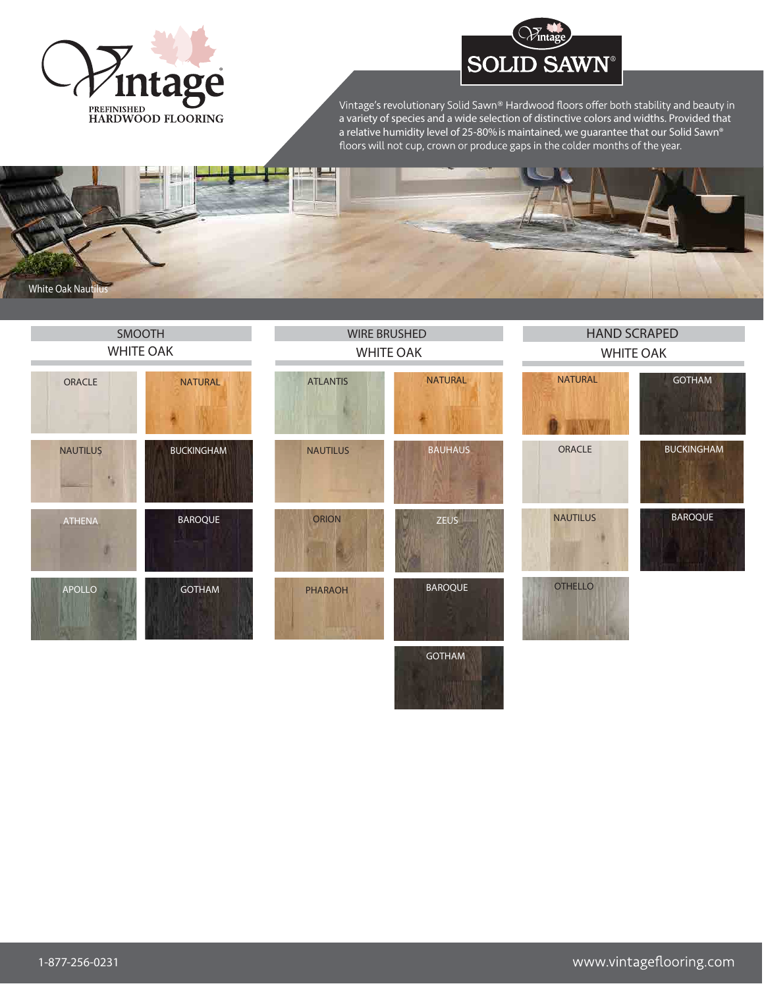

## **SOLID SAWN®**

a variety of species and a wide selection of distinctive colors and widths. Provided that a relative humidity level of 25-80%is maintained, we guarantee that our Solid Sawn®



| SMOOTH                |                   | <b>WIRE BRUSHED</b> |                    | <b>HAND SCRAPED</b> |                   |
|-----------------------|-------------------|---------------------|--------------------|---------------------|-------------------|
| <b>WHITE OAK</b>      |                   | <b>WHITE OAK</b>    |                    | <b>WHITE OAK</b>    |                   |
| ORACLE                | <b>NATURAL</b>    | <b>ATLANTIS</b>     | <b>NATURAL</b>     | <b>NATURAL</b>      | <b>GOTHAM</b>     |
| <b>NAUTILUS</b><br>N. | <b>BUCKINGHAM</b> | <b>NAUTILUS</b>     | <b>BAUHAUS</b>     | ORACLE              | <b>BUCKINGHAM</b> |
| ATHENA                | <b>BAROQUE</b>    | ORION               | ZEUS <sup>II</sup> | <b>NAUTILUS</b>     | <b>BAROQUE</b>    |
| APOLLO                | <b>GOTHAM</b>     | <b>PHARAOH</b>      | <b>BAROQUE</b>     | <b>OTHELLO</b>      |                   |
|                       |                   |                     | <b>GOTHAM</b>      |                     |                   |

<u>standard and the standard standard and the standard standard and the standard standard standard standard standard standard standard standard standard standard standard standard standard standard standard standard standard</u>